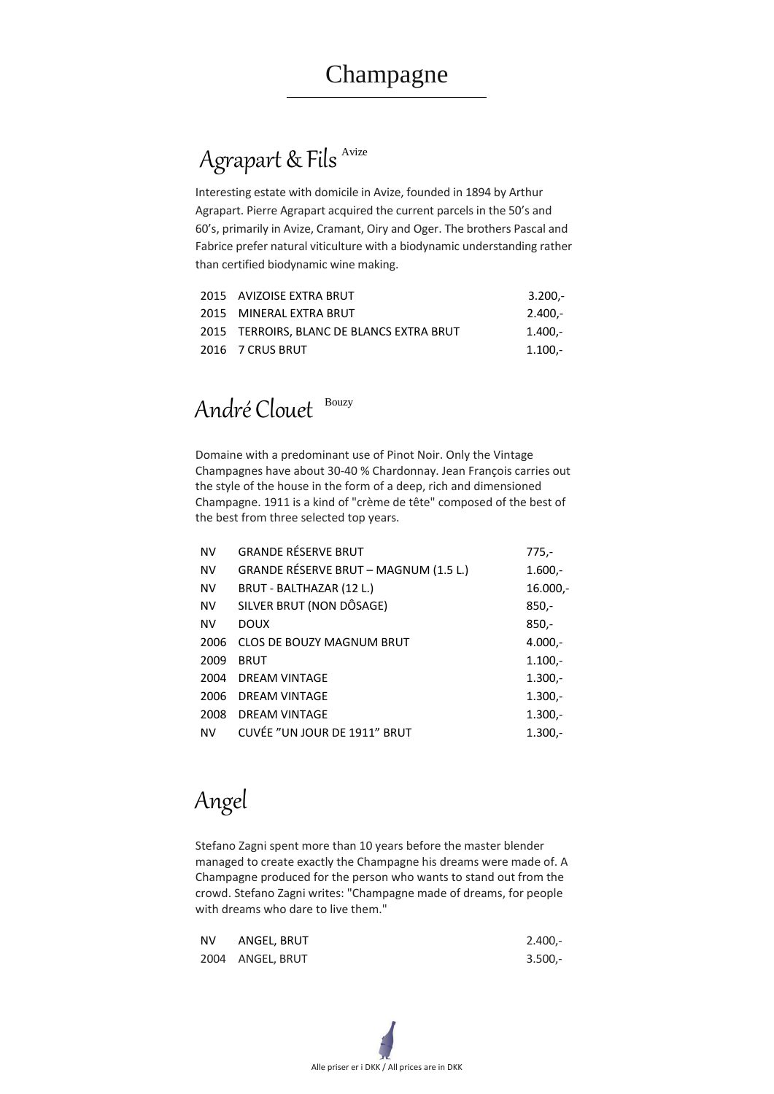# Agrapart & Fils<sup>Avize</sup>

Alle priser er i DKK / All prices are in DKK

Interesting estate with domicile in Avize, founded in 1894 by Arthur Agrapart. Pierre Agrapart acquired the current parcels in the 50's and 60's, primarily in Avize, Cramant, Oiry and Oger. The brothers Pascal and Fabrice prefer natural viticulture with a biodynamic understanding rather than certified biodynamic wine making.

| 2015 AVIZOISE EXTRA BRUT                  | $3.200 -$ |
|-------------------------------------------|-----------|
| 2015 MINERAL EXTRA BRUT                   | $2.400 -$ |
| 2015 TERROIRS, BLANC DE BLANCS EXTRA BRUT | $1.400 -$ |
| 2016 7 CRUS BRUT                          | $1.100 -$ |

# André Clouet Bouzy

Domaine with a predominant use of Pinot Noir. Only the Vintage Champagnes have about 30-40 % Chardonnay. Jean François carries out the style of the house in the form of a deep, rich and dimensioned Champagne. 1911 is a kind of "crème de tête" composed of the best of the best from three selected top years.

| <b>NV</b> | <b>GRANDE RÉSERVE BRUT</b>                   | $775,-$    |
|-----------|----------------------------------------------|------------|
| <b>NV</b> | <b>GRANDE RÉSERVE BRUT - MAGNUM (1.5 L.)</b> | $1.600 -$  |
| <b>NV</b> | BRUT - BALTHAZAR (12 L.)                     | $16.000,-$ |
| <b>NV</b> | SILVER BRUT (NON DÔSAGE)                     | $850,-$    |
| <b>NV</b> | <b>DOUX</b>                                  | $850,-$    |
| 2006      | <b>CLOS DE BOUZY MAGNUM BRUT</b>             | $4.000,-$  |
| 2009      | <b>BRUT</b>                                  | $1.100 -$  |
| 2004      | <b>DREAM VINTAGE</b>                         | $1.300 -$  |
| 2006      | <b>DREAM VINTAGE</b>                         | $1.300 -$  |
| 2008      | <b>DREAM VINTAGE</b>                         | $1.300 -$  |
| <b>NV</b> | <b>CUVÉE "UN JOUR DE 1911" BRUT</b>          | $1.300 -$  |

Angel

Stefano Zagni spent more than 10 years before the master blender managed to create exactly the Champagne his dreams were made of. A Champagne produced for the person who wants to stand out from the crowd. Stefano Zagni writes: "Champagne made of dreams, for people with dreams who dare to live them."

| NV ANGEL, BRUT   | $2.400 -$ |  |
|------------------|-----------|--|
| 2004 ANGEL, BRUT | $3.500 -$ |  |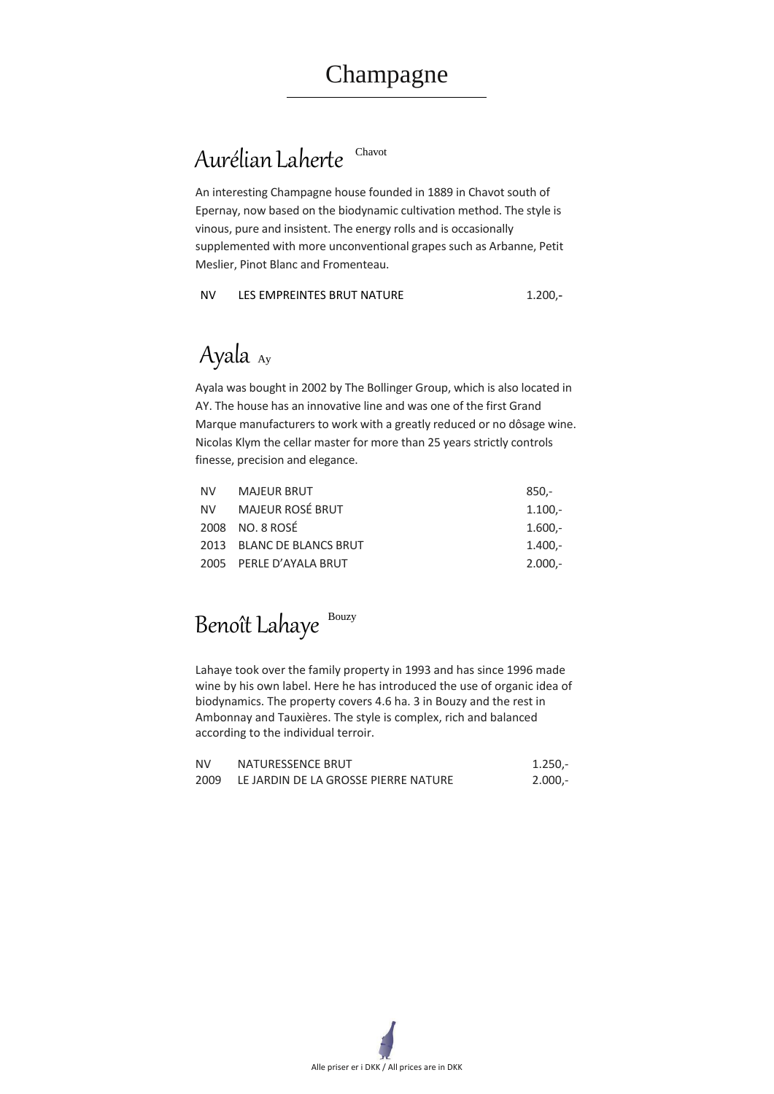## Aurélian Laherte Chavot



An interesting Champagne house founded in 1889 in Chavot south of Epernay, now based on the biodynamic cultivation method. The style is vinous, pure and insistent. The energy rolls and is occasionally supplemented with more unconventional grapes such as Arbanne, Petit Meslier, Pinot Blanc and Fromenteau.

NV LES EMPREINTES BRUT NATURE 1.200,-

# Ayala Ay

Ayala was bought in 2002 by The Bollinger Group, which is also located in AY. The house has an innovative line and was one of the first Grand Marque manufacturers to work with a greatly reduced or no dôsage wine. Nicolas Klym the cellar master for more than 25 years strictly controls finesse, precision and elegance.

| <b>NV</b> | MAJEUR BRUT               | $850 -$   |
|-----------|---------------------------|-----------|
|           | NV MAJEUR ROSÉ BRUT       | $1.100 -$ |
|           | 2008 NO. 8 ROSÉ           | $1.600 -$ |
|           | 2013 BLANC DE BLANCS BRUT | $1.400 -$ |
|           | 2005 PERLE D'AYALA BRUT   | $2.000 -$ |

# Benoît Lahaye Bouzy

Lahaye took over the family property in 1993 and has since 1996 made wine by his own label. Here he has introduced the use of organic idea of biodynamics. The property covers 4.6 ha. 3 in Bouzy and the rest in Ambonnay and Tauxières. The style is complex, rich and balanced according to the individual terroir.

| <b>NV</b> | <b>NATURESSENCE BRUT</b>                  | $1.250 -$ |
|-----------|-------------------------------------------|-----------|
|           | 2009 LE JARDIN DE LA GROSSE PIERRE NATURE | $2.000,-$ |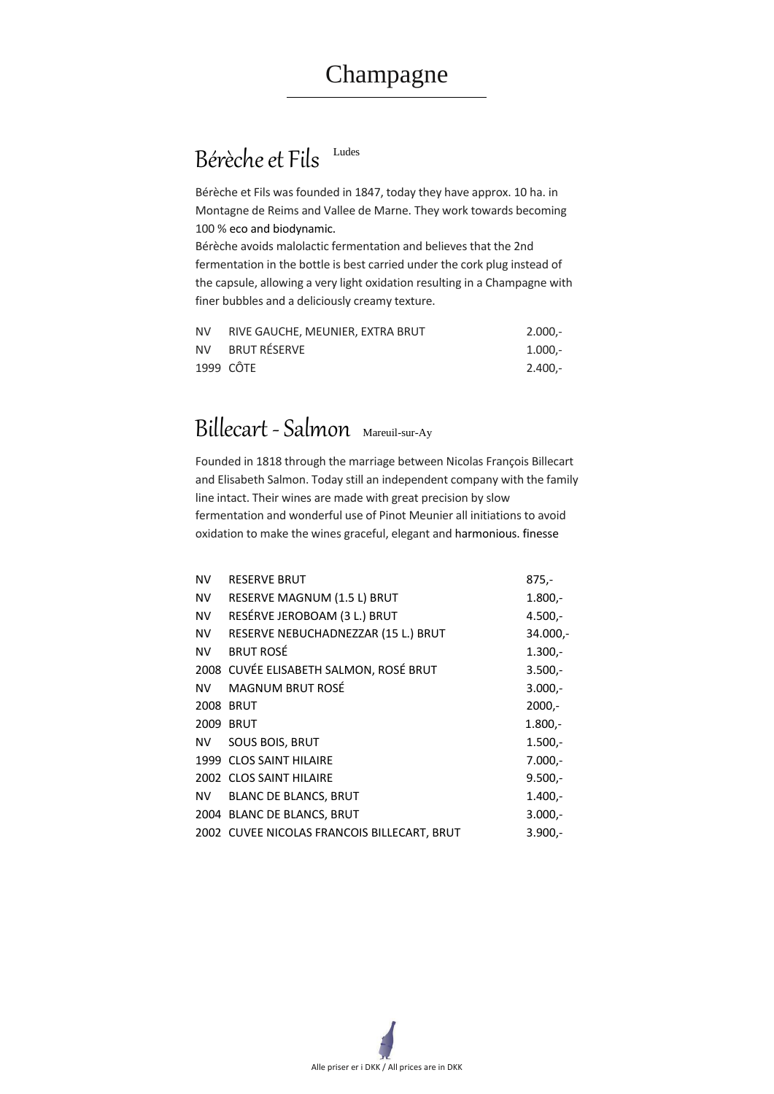## Bérèche et Fils Ludes

Alle priser er i DKK / All prices are in DKK

Bérèche et Fils was founded in 1847, today they have approx. 10 ha. in Montagne de Reims and Vallee de Marne. They work towards becoming 100 % eco and biodynamic.

Bérèche avoids malolactic fermentation and believes that the 2nd fermentation in the bottle is best carried under the cork plug instead of the capsule, allowing a very light oxidation resulting in a Champagne with finer bubbles and a deliciously creamy texture.

| NV. | RIVE GAUCHE, MEUNIER, EXTRA BRUT | $2.000 -$ |
|-----|----------------------------------|-----------|
|     | NV BRUT RÉSERVE                  | $1.000 -$ |
|     | 1999 CÔTE                        | $2.400 -$ |

# Billecart -Salmon Mareuil-sur-Ay

Founded in 1818 through the marriage between Nicolas François Billecart and Elisabeth Salmon. Today still an independent company with the family line intact. Their wines are made with great precision by slow fermentation and wonderful use of Pinot Meunier all initiations to avoid oxidation to make the wines graceful, elegant and harmonious. finesse

| <b>NV</b> | <b>RESERVE BRUT</b>                    | $875,-$   |
|-----------|----------------------------------------|-----------|
| <b>NV</b> | RESERVE MAGNUM (1.5 L) BRUT            | $1.800,-$ |
| <b>NV</b> | RESÉRVE JEROBOAM (3 L.) BRUT           | $4.500 -$ |
| <b>NV</b> | RESERVE NEBUCHADNEZZAR (15 L.) BRUT    | 34.000,-  |
| <b>NV</b> | <b>BRUT ROSÉ</b>                       | $1.300 -$ |
|           | 2008 CUVÉE ELISABETH SALMON, ROSÉ BRUT | $3.500 -$ |
| <b>NV</b> | <b>MAGNUM BRUT ROSÉ</b>                | $3.000 -$ |
| 2008      | <b>BRUT</b>                            | $2000,-$  |
| 2009      | <b>BRUT</b>                            | $1.800,-$ |
| <b>NV</b> | <b>SOUS BOIS, BRUT</b>                 | $1.500 -$ |
|           | 1999 CLOS SAINT HILAIRE                | $7.000 -$ |
|           | 2002 CLOS SAINT HILAIRE                | $9.500 -$ |
| <b>NV</b> | <b>BLANC DE BLANCS, BRUT</b>           | $1.400 -$ |
|           | 2004 BLANC DE BLANCS, BRUT             | $3.000 -$ |

2002 CUVEE NICOLAS FRANCOIS BILLECART, BRUT 3.900,-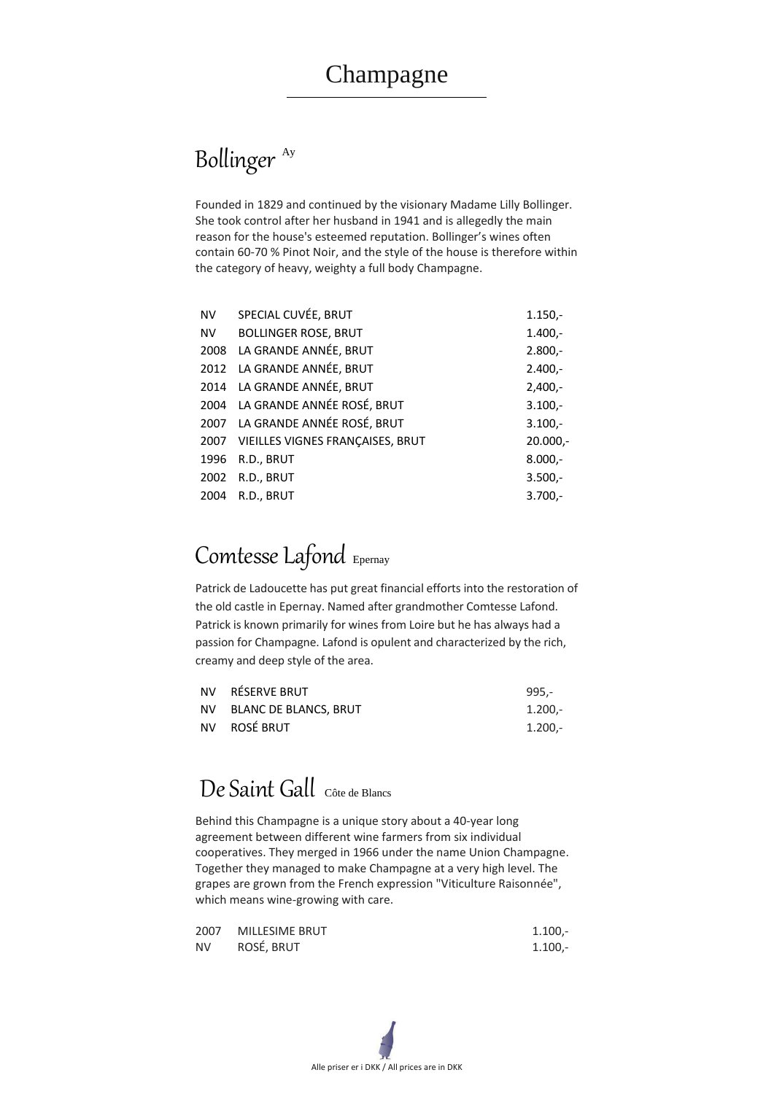# Bollinger<sup>Ay</sup>



Founded in 1829 and continued by the visionary Madame Lilly Bollinger. She took control after her husband in 1941 and is allegedly the main reason for the house's esteemed reputation. Bollinger's wines often contain 60-70 % Pinot Noir, and the style of the house is therefore within the category of heavy, weighty a full body Champagne.

| <b>NV</b> | SPECIAL CUVÉE, BRUT                   | $1.150,-$  |
|-----------|---------------------------------------|------------|
| <b>NV</b> | <b>BOLLINGER ROSE, BRUT</b>           | $1.400,-$  |
|           | 2008 LA GRANDE ANNÉE, BRUT            | $2.800 -$  |
|           | 2012 LA GRANDE ANNÉE, BRUT            | $2.400,-$  |
|           | 2014 LA GRANDE ANNÉE, BRUT            | $2,400,-$  |
|           | 2004 LA GRANDE ANNÉE ROSÉ, BRUT       | $3.100,-$  |
|           | 2007 LA GRANDE ANNÉE ROSÉ, BRUT       | $3.100 -$  |
|           | 2007 VIEILLES VIGNES FRANÇAISES, BRUT | $20.000,-$ |
| 1996      | R.D., BRUT                            | $8.000,-$  |
| 2002      | R.D., BRUT                            | $3.500 -$  |
| 2004      | R.D., BRUT                            | $3.700 -$  |

## Comtesse Lafond Epernay

Patrick de Ladoucette has put great financial efforts into the restoration of the old castle in Epernay. Named after grandmother Comtesse Lafond. Patrick is known primarily for wines from Loire but he has always had a passion for Champagne. Lafond is opulent and characterized by the rich, creamy and deep style of the area.

| NV RÉSERVE BRUT          | 995,-   |
|--------------------------|---------|
| NV BLANC DE BLANCS, BRUT | 1.200,- |
| NV ROSÉ BRUT             | 1.200,- |

# De Saint Gall Côte de Blancs

Behind this Champagne is a unique story about a 40-year long

agreement between different wine farmers from six individual cooperatives. They merged in 1966 under the name Union Champagne. Together they managed to make Champagne at a very high level. The grapes are grown from the French expression "Viticulture Raisonnée", which means wine-growing with care.

|           | 2007 MILLESIME BRUT | $1.100 -$ |
|-----------|---------------------|-----------|
| <b>NV</b> | ROSÉ, BRUT          | $1.100 -$ |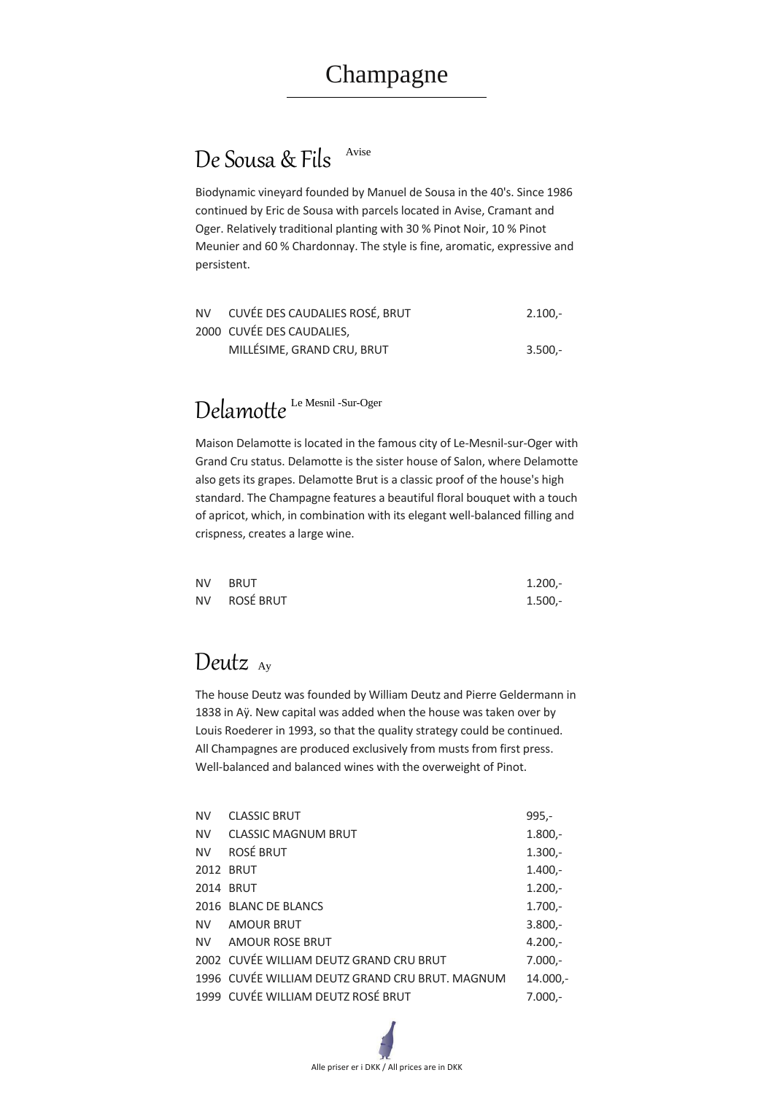## De Sousa & Fils Avise



Biodynamic vineyard founded by Manuel de Sousa in the 40's. Since 1986 continued by Eric de Sousa with parcels located in Avise, Cramant and Oger. Relatively traditional planting with 30 % Pinot Noir, 10 % Pinot Meunier and 60 % Chardonnay. The style is fine, aromatic, expressive and persistent.

| NV CUVÉE DES CAUDALIES ROSÉ, BRUT | $2.100 -$ |
|-----------------------------------|-----------|
| 2000 CUVÉE DES CAUDALIES,         |           |
| MILLÉSIME, GRAND CRU, BRUT        | $3.500 -$ |

# Delamotte<sup>Le Mesnil-Sur-Oger</sup>

Maison Delamotte is located in the famous city of Le-Mesnil-sur-Oger with Grand Cru status. Delamotte is the sister house of Salon, where Delamotte also gets its grapes. Delamotte Brut is a classic proof of the house's high standard. The Champagne features a beautiful floral bouquet with a touch of apricot, which, in combination with its elegant well-balanced filling and crispness, creates a large wine.

| NV BRUT      | $1.200 -$ |
|--------------|-----------|
| NV ROSÉ BRUT | $1.500 -$ |

### Deutz Ay

The house Deutz was founded by William Deutz and Pierre Geldermann in 1838 in Aÿ. New capital was added when the house was taken over by Louis Roederer in 1993, so that the quality strategy could be continued. All Champagnes are produced exclusively from musts from first press. Well-balanced and balanced wines with the overweight of Pinot.

| <b>NV</b> | <b>CLASSIC MAGNUM BRUT</b>                      | $1.800,-$ |
|-----------|-------------------------------------------------|-----------|
| <b>NV</b> | <b>ROSÉ BRUT</b>                                | $1.300 -$ |
|           | <b>2012 BRUT</b>                                | $1.400 -$ |
|           | <b>2014 BRUT</b>                                | $1.200 -$ |
|           | 2016 BLANC DE BLANCS                            | $1.700 -$ |
|           | NV AMOUR BRUT                                   | $3.800 -$ |
| NV.       | <b>AMOUR ROSE BRUT</b>                          | $4.200 -$ |
|           | 2002 CUVÉE WILLIAM DEUTZ GRAND CRU BRUT         | $7.000 -$ |
|           | 1996 CUVÉE WILLIAM DEUTZ GRAND CRU BRUT. MAGNUM | 14.000,-  |
|           | 1999 CUVÉE WILLIAM DEUTZ ROSÉ BRUT              | $7.000 -$ |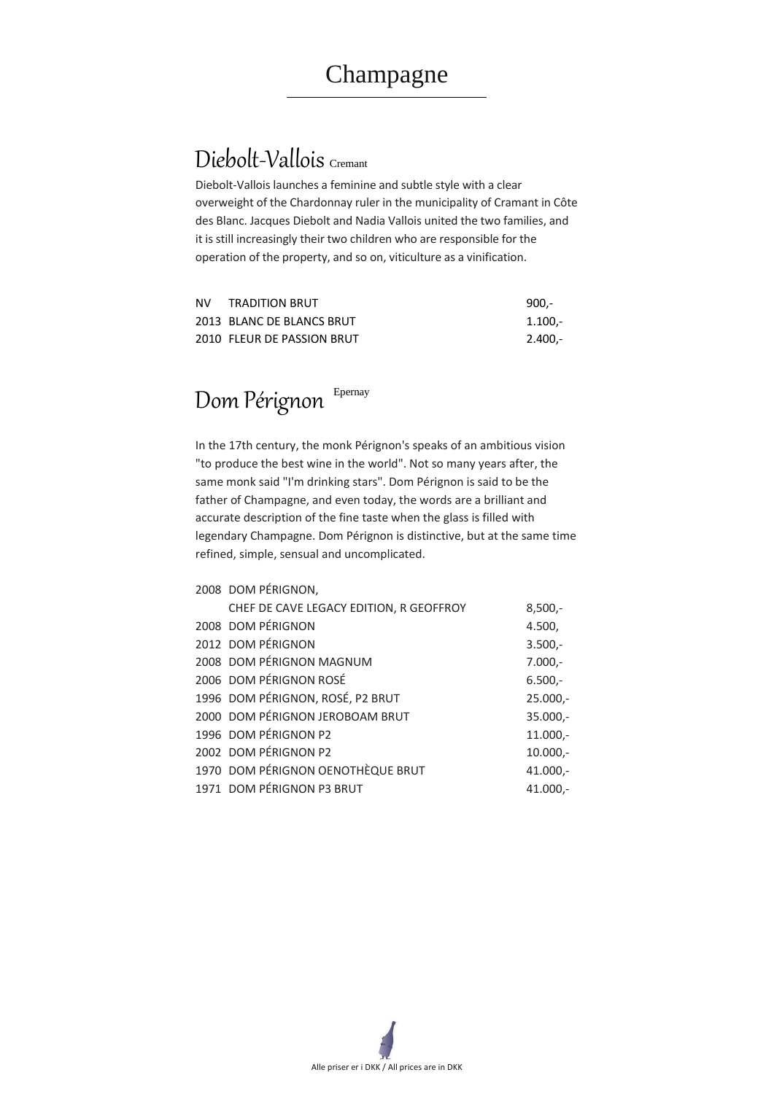# Diebolt-Vallois Cremant



Diebolt-Vallois launches a feminine and subtle style with a clear overweight of the Chardonnay ruler in the municipality of Cramant in Côte des Blanc. Jacques Diebolt and Nadia Vallois united the two families, and it is still increasingly their two children who are responsible for the operation of the property, and so on, viticulture as a vinification.

| <b>NV</b> | <b>TRADITION BRUT</b>      | $900 -$   |
|-----------|----------------------------|-----------|
|           | 2013 BLANC DE BLANCS BRUT  | -.100 1.1 |
|           | 2010 FLEUR DE PASSION BRUT | 2.400,-   |

# Dom Pérignon Epernay

In the 17th century, the monk Pérignon's speaks of an ambitious vision "to produce the best wine in the world". Not so many years after, the same monk said "I'm drinking stars". Dom Pérignon is said to be the father of Champagne, and even today, the words are a brilliant and accurate description of the fine taste when the glass is filled with legendary Champagne. Dom Pérignon is distinctive, but at the same time refined, simple, sensual and uncomplicated.

#### 2008 DOM PÉRIGNON,

| CHEF DE CAVE LEGACY EDITION, R GEOFFROY | $8,500,-$  |
|-----------------------------------------|------------|
| 2008 DOM PÉRIGNON                       | 4.500,     |
| 2012 DOM PÉRIGNON                       | $3.500 -$  |
| 2008 DOM PÉRIGNON MAGNUM                | $7.000,-$  |
| 2006 DOM PÉRIGNON ROSÉ                  | $6.500 -$  |
| 1996 DOM PÉRIGNON, ROSÉ, P2 BRUT        | $25.000,-$ |
| 2000 DOM PÉRIGNON JEROBOAM BRUT         | $35.000,-$ |
| 1996 DOM PÉRIGNON P2                    | $11.000,-$ |
| 2002 DOM PÉRIGNON P2                    | $10.000,-$ |
| 1970 DOM PÉRIGNON OENOTHÈQUE BRUT       | $41.000,-$ |
| 1971 DOM PÉRIGNON P3 BRUT               | 41.000,-   |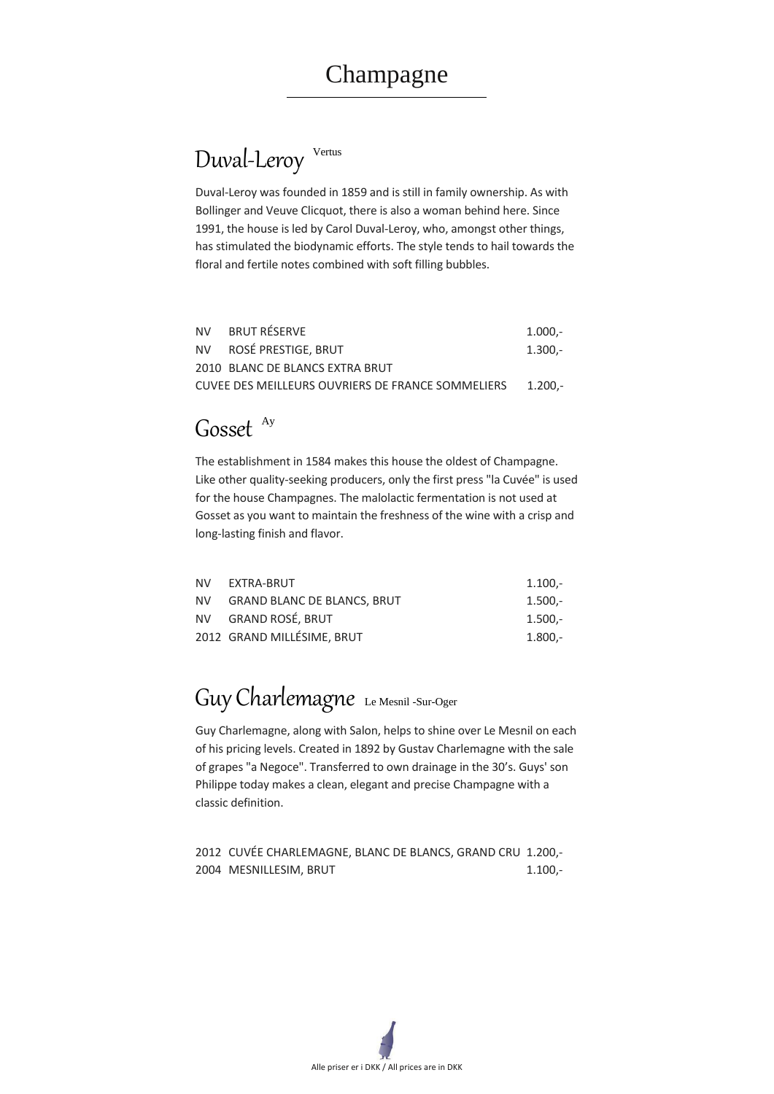# Duval-Leroy Vertus

Alle priser er i DKK / All prices are in DKK

Duval-Leroy was founded in 1859 and is still in family ownership. As with Bollinger and Veuve Clicquot, there is also a woman behind here. Since 1991, the house is led by Carol Duval-Leroy, who, amongst other things, has stimulated the biodynamic efforts. The style tends to hail towards the floral and fertile notes combined with soft filling bubbles.

| NV BRUT RÉSERVE                                           | $1.000 -$ |
|-----------------------------------------------------------|-----------|
| NV ROSÉ PRESTIGE, BRUT                                    | $1.300 -$ |
| 2010 BLANC DE BLANCS EXTRA BRUT                           |           |
| CUVEE DES MEILLEURS OUVRIERS DE FRANCE SOMMELIERS 1.200.- |           |

## Gosset <sup>Ay</sup>

#### 2012 CUVÉE CHARLEMAGNE, BLANC DE BLANCS, GRAND CRU 1.200,- 2004 MESNILLESIM, BRUT 1.100,-

The establishment in 1584 makes this house the oldest of Champagne. Like other quality-seeking producers, only the first press "la Cuvée" is used for the house Champagnes. The malolactic fermentation is not used at Gosset as you want to maintain the freshness of the wine with a crisp and long-lasting finish and flavor.

| NV EXTRA-BRUT                  | $1.100 -$ |
|--------------------------------|-----------|
| NV GRAND BLANC DE BLANCS, BRUT | $1.500 -$ |
| NV GRAND ROSÉ, BRUT            | $1.500 -$ |
| 2012 GRAND MILLÉSIME, BRUT     | $1.800 -$ |

# Guy Charlemagne Le Mesnil -Sur-Oger

Guy Charlemagne, along with Salon, helps to shine over Le Mesnil on each of his pricing levels. Created in 1892 by Gustav Charlemagne with the sale of grapes "a Negoce". Transferred to own drainage in the 30's. Guys' son Philippe today makes a clean, elegant and precise Champagne with a classic definition.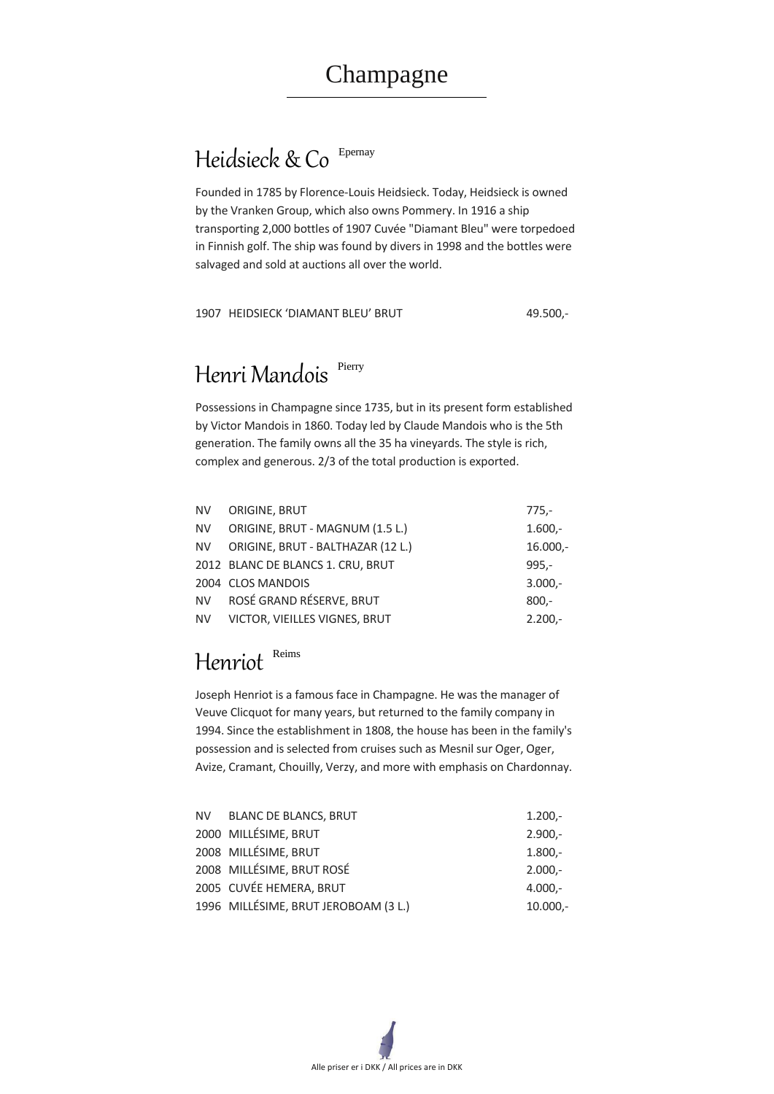# Heidsieck & Co Epernay



Founded in 1785 by Florence-Louis Heidsieck. Today, Heidsieck is owned by the Vranken Group, which also owns Pommery. In 1916 a ship transporting 2,000 bottles of 1907 Cuvée "Diamant Bleu" were torpedoed in Finnish golf. The ship was found by divers in 1998 and the bottles were salvaged and sold at auctions all over the world.

#### 1907 HEIDSIECK 'DIAMANT BLEU' BRUT 49.500,-

## Henri Mandois Pierry

Possessions in Champagne since 1735, but in its present form established by Victor Mandois in 1860. Today led by Claude Mandois who is the 5th generation. The family owns all the 35 ha vineyards. The style is rich, complex and generous. 2/3 of the total production is exported.

| <b>NV</b> | <b>ORIGINE, BRUT</b>              | $775,-$    |
|-----------|-----------------------------------|------------|
| <b>NV</b> | ORIGINE, BRUT - MAGNUM (1.5 L.)   | $1.600 -$  |
| <b>NV</b> | ORIGINE, BRUT - BALTHAZAR (12 L.) | $16.000 -$ |
|           | 2012 BLANC DE BLANCS 1. CRU, BRUT | $995 -$    |
|           | 2004 CLOS MANDOIS                 | $3.000 -$  |
| <b>NV</b> | ROSÉ GRAND RÉSERVE, BRUT          | $800 -$    |
| <b>NV</b> | VICTOR, VIEILLES VIGNES, BRUT     | $2.200 -$  |

# Henriot Reims

Joseph Henriot is a famous face in Champagne. He was the manager of Veuve Clicquot for many years, but returned to the family company in 1994. Since the establishment in 1808, the house has been in the family's possession and is selected from cruises such as Mesnil sur Oger, Oger, Avize, Cramant, Chouilly, Verzy, and more with emphasis on Chardonnay.

| 2000 MILLÉSIME, BRUT                 | $2.900 -$  |
|--------------------------------------|------------|
| 2008 MILLÉSIME, BRUT                 | $1.800 -$  |
| 2008 MILLÉSIME, BRUT ROSÉ            | $2.000 -$  |
| 2005 CUVÉE HEMERA, BRUT              | $4.000 -$  |
| 1996 MILLÉSIME, BRUT JEROBOAM (3 L.) | $10.000 -$ |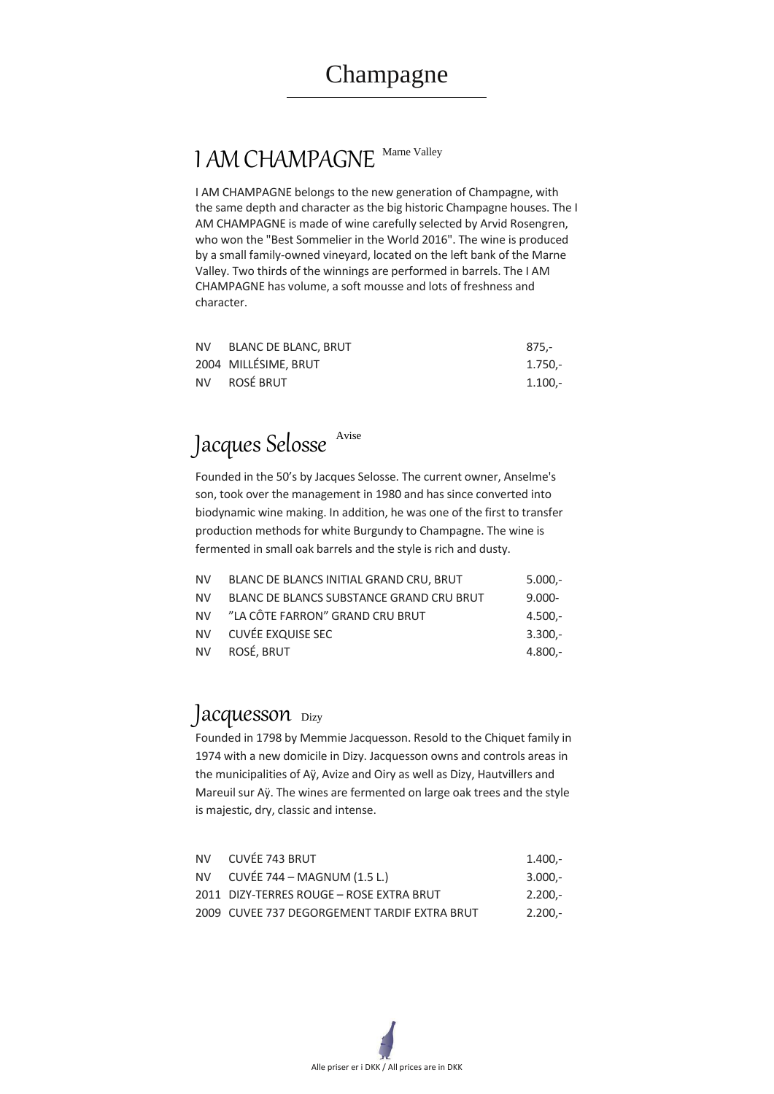# 1 AM CHAMPAGNE Marne Valley

Alle priser er i DKK / All prices are in DKK

I AM CHAMPAGNE belongs to the new generation of Champagne, with the same depth and character as the big historic Champagne houses. The I AM CHAMPAGNE is made of wine carefully selected by Arvid Rosengren, who won the "Best Sommelier in the World 2016". The wine is produced by a small family-owned vineyard, located on the left bank of the Marne Valley. Two thirds of the winnings are performed in barrels. The I AM CHAMPAGNE has volume, a soft mousse and lots of freshness and character.

| NV I | BLANC DE BLANCS INITIAL GRAND CRU, BRUT  | $5.000 -$ |
|------|------------------------------------------|-----------|
| NV.  | BLANC DE BLANCS SUBSTANCE GRAND CRU BRUT | $9.000 -$ |
|      | NV "LA CÔTE FARRON" GRAND CRU BRUT       | $4.500 -$ |
|      | NV CUVÉE EXQUISE SEC                     | $3.300 -$ |
|      | NV ROSÉ, BRUT                            | $4.800 -$ |

### Jacquesson <sub>Dizy</sub>

| NV. | BLANC DE BLANC, BRUT | $875 -$   |
|-----|----------------------|-----------|
|     | 2004 MILLÉSIME, BRUT | $1.750 -$ |
|     | NV ROSÉ BRUT         | 1.100.-   |



Founded in the 50's by Jacques Selosse. The current owner, Anselme's son, took over the management in 1980 and has since converted into biodynamic wine making. In addition, he was one of the first to transfer production methods for white Burgundy to Champagne. The wine is fermented in small oak barrels and the style is rich and dusty.

Founded in 1798 by Memmie Jacquesson. Resold to the Chiquet family in 1974 with a new domicile in Dizy. Jacquesson owns and controls areas in the municipalities of Aÿ, Avize and Oiry as well as Dizy, Hautvillers and Mareuil sur Aÿ. The wines are fermented on large oak trees and the style is majestic, dry, classic and intense.

| NV CUVÉE 743 BRUT                            | $1.400 -$ |
|----------------------------------------------|-----------|
| NV CUVÉE 744 – MAGNUM $(1.5 L)$              | $3.000 -$ |
| 2011 DIZY-TERRES ROUGE - ROSE EXTRA BRUT     | $2.200 -$ |
| 2009 CUVEE 737 DEGORGEMENT TARDIF EXTRA BRUT | $2.200 -$ |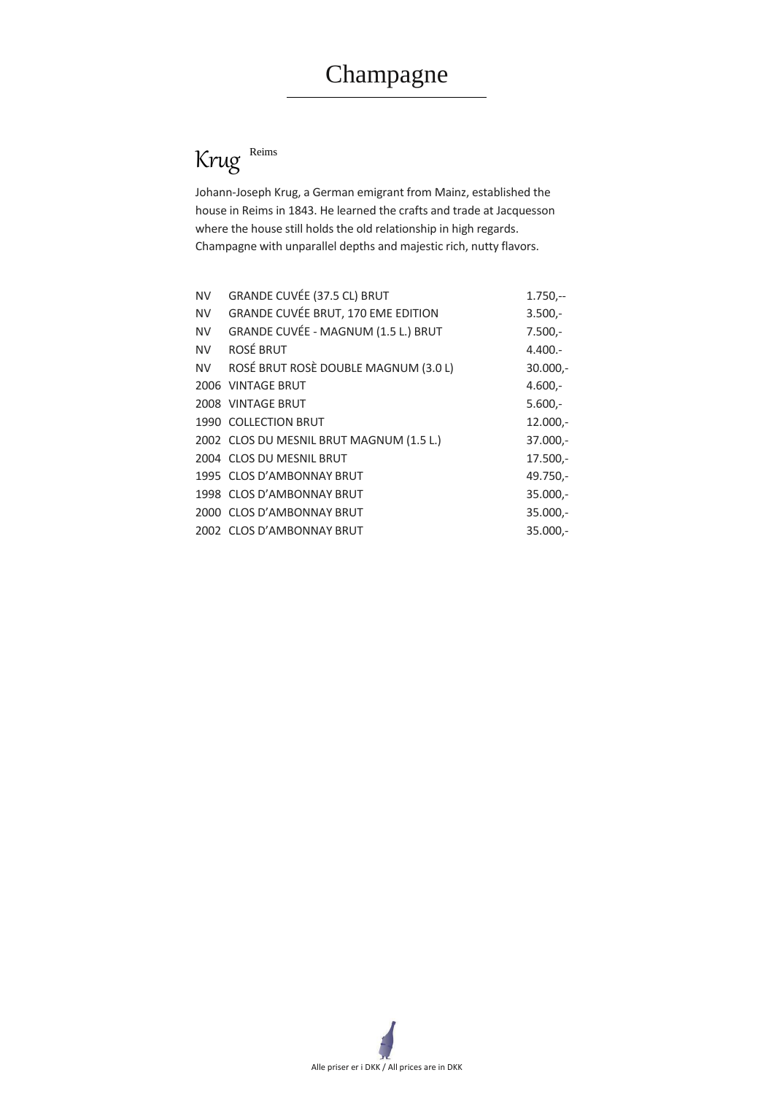



Johann-Joseph Krug, a German emigrant from Mainz, established the house in Reims in 1843. He learned the crafts and trade at Jacquesson where the house still holds the old relationship in high regards. Champagne with unparallel depths and majestic rich, nutty flavors.

| <b>NV</b> | <b>GRANDE CUVÉE (37.5 CL) BRUT</b>         | $1.750 -$  |
|-----------|--------------------------------------------|------------|
| <b>NV</b> | <b>GRANDE CUVÉE BRUT, 170 EME EDITION</b>  | $3.500 -$  |
| <b>NV</b> | <b>GRANDE CUVÉE - MAGNUM (1.5 L.) BRUT</b> | $7.500 -$  |
| <b>NV</b> | <b>ROSÉ BRUT</b>                           | $4.400 -$  |
| <b>NV</b> | ROSÉ BRUT ROSÈ DOUBLE MAGNUM (3.0 L)       | $30.000,-$ |
|           | 2006 VINTAGE BRUT                          | $4.600 -$  |
|           | 2008 VINTAGE BRUT                          | $5.600 -$  |
|           | 1990 COLLECTION BRUT                       | $12.000,-$ |
|           | 2002 CLOS DU MESNIL BRUT MAGNUM (1.5 L.)   | 37.000,-   |
|           | 2004 CLOS DU MESNIL BRUT                   | $17.500 -$ |
|           | 1995 CLOS D'AMBONNAY BRUT                  | 49.750,-   |
|           | 1998 CLOS D'AMBONNAY BRUT                  | $35.000 -$ |
|           | 2000 CLOS D'AMBONNAY BRUT                  | $35.000 -$ |
|           | 2002 CLOS D'AMBONNAY BRUT                  | 35.000,-   |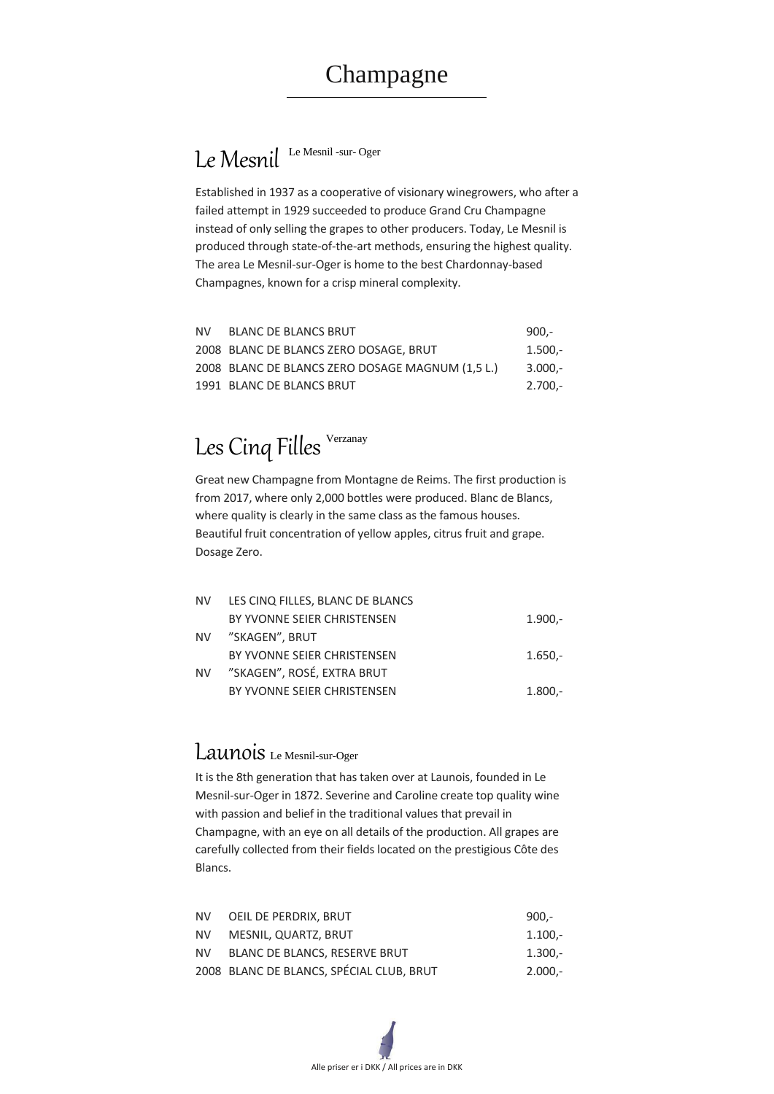# Le Mesnil Le Mesnil -sur- Oger



Established in 1937 as a cooperative of visionary winegrowers, who after a failed attempt in 1929 succeeded to produce Grand Cru Champagne instead of only selling the grapes to other producers. Today, Le Mesnil is produced through state-of-the-art methods, ensuring the highest quality. The area Le Mesnil-sur-Oger is home to the best Chardonnay-based Champagnes, known for a crisp mineral complexity.

| NV I | <b>BLANC DE BLANCS BRUT</b>                      | $900 -$   |
|------|--------------------------------------------------|-----------|
|      | 2008 BLANC DE BLANCS ZERO DOSAGE, BRUT           | $1.500 -$ |
|      | 2008 BLANC DE BLANCS ZERO DOSAGE MAGNUM (1,5 L.) | 3.000,-   |
|      | 1991 BLANC DE BLANCS BRUT                        | 2.700,-   |

# Les Cinq Filles Verzanay

Great new Champagne from Montagne de Reims. The first production is from 2017, where only 2,000 bottles were produced. Blanc de Blancs, where quality is clearly in the same class as the famous houses. Beautiful fruit concentration of yellow apples, citrus fruit and grape. Dosage Zero.

| <b>NV</b> | LES CINQ FILLES, BLANC DE BLANCS |           |
|-----------|----------------------------------|-----------|
|           | BY YVONNE SEIER CHRISTENSEN      | $1.900 -$ |
|           | NV "SKAGEN", BRUT                |           |
|           | BY YVONNE SEIER CHRISTENSEN      | $1.650 -$ |
| <b>NV</b> | "SKAGEN", ROSÉ, EXTRA BRUT       |           |
|           | BY YVONNE SEIER CHRISTENSEN      | $1.800 -$ |

### Launois Le Mesnil-sur-Oger

It is the 8th generation that has taken over at Launois, founded in Le Mesnil-sur-Oger in 1872. Severine and Caroline create top quality wine with passion and belief in the traditional values that prevail in

Champagne, with an eye on all details of the production. All grapes are carefully collected from their fields located on the prestigious Côte des Blancs.

| NV.  | OEIL DE PERDRIX, BRUT                    | $900 -$   |
|------|------------------------------------------|-----------|
| NV I | MESNIL, QUARTZ, BRUT                     | $1.100 -$ |
| NV.  | <b>BLANC DE BLANCS, RESERVE BRUT</b>     | $1.300 -$ |
|      | 2008 BLANC DE BLANCS, SPÉCIAL CLUB, BRUT | $2.000 -$ |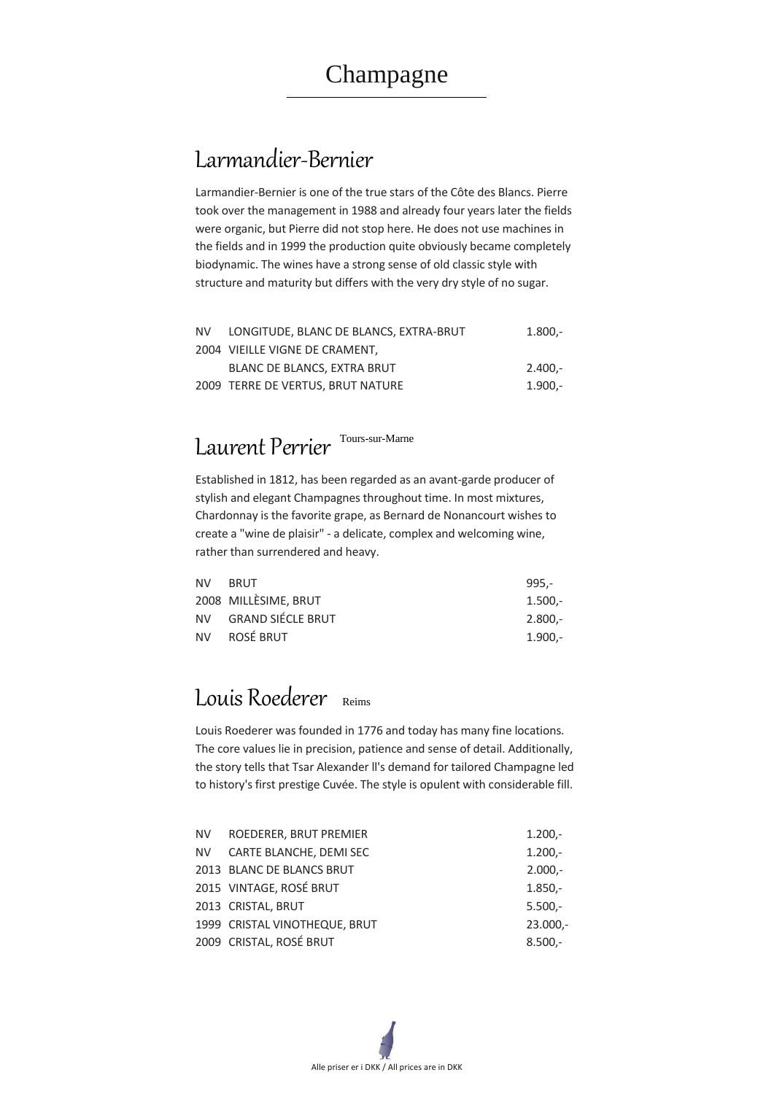

## Larmandier-Bernier

Larmandier-Bernier is one of the true stars of the Côte des Blancs. Pierre took over the management in 1988 and already four years later the fields were organic, but Pierre did not stop here. He does not use machines in the fields and in 1999 the production quite obviously became completely biodynamic. The wines have a strong sense of old classic style with structure and maturity but differs with the very dry style of no sugar.

| NV I | LONGITUDE, BLANC DE BLANCS, EXTRA-BRUT | $1.800 -$ |
|------|----------------------------------------|-----------|
|      | 2004 VIEILLE VIGNE DE CRAMENT,         |           |
|      | BLANC DE BLANCS, EXTRA BRUT            | $2.400 -$ |
|      | 2009 TERRE DE VERTUS, BRUT NATURE      | $1.900 -$ |

# Laurent Perrier Tours-sur-Marne

Established in 1812, has been regarded as an avant-garde producer of stylish and elegant Champagnes throughout time. In most mixtures, Chardonnay is the favorite grape, as Bernard de Nonancourt wishes to create a "wine de plaisir" - a delicate, complex and welcoming wine, rather than surrendered and heavy.

| NV BRUT              | $995 -$   |
|----------------------|-----------|
| 2008 MILLÈSIME, BRUT | $1.500 -$ |
| NV GRAND SIÉCLE BRUT | $2.800 -$ |
| NV ROSÉ BRUT         | 1.900,-   |

## Louis Roederer Reims

Louis Roederer was founded in 1776 and today has many fine locations. The core values lie in precision, patience and sense of detail. Additionally, the story tells that Tsar Alexander ll's demand for tailored Champagne led to history's first prestige Cuvée. The style is opulent with considerable fill.

| <b>NV</b> | ROEDERER, BRUT PREMIER         | $1.200 -$  |
|-----------|--------------------------------|------------|
| NV.       | <b>CARTE BLANCHE, DEMI SEC</b> | $1.200 -$  |
|           | 2013 BLANC DE BLANCS BRUT      | $2.000 -$  |
|           | 2015 VINTAGE, ROSÉ BRUT        | $1.850 -$  |
|           | 2013 CRISTAL, BRUT             | $5.500 -$  |
|           | 1999 CRISTAL VINOTHEQUE, BRUT  | $23.000 -$ |
|           | 2009 CRISTAL, ROSÉ BRUT        | $8.500 -$  |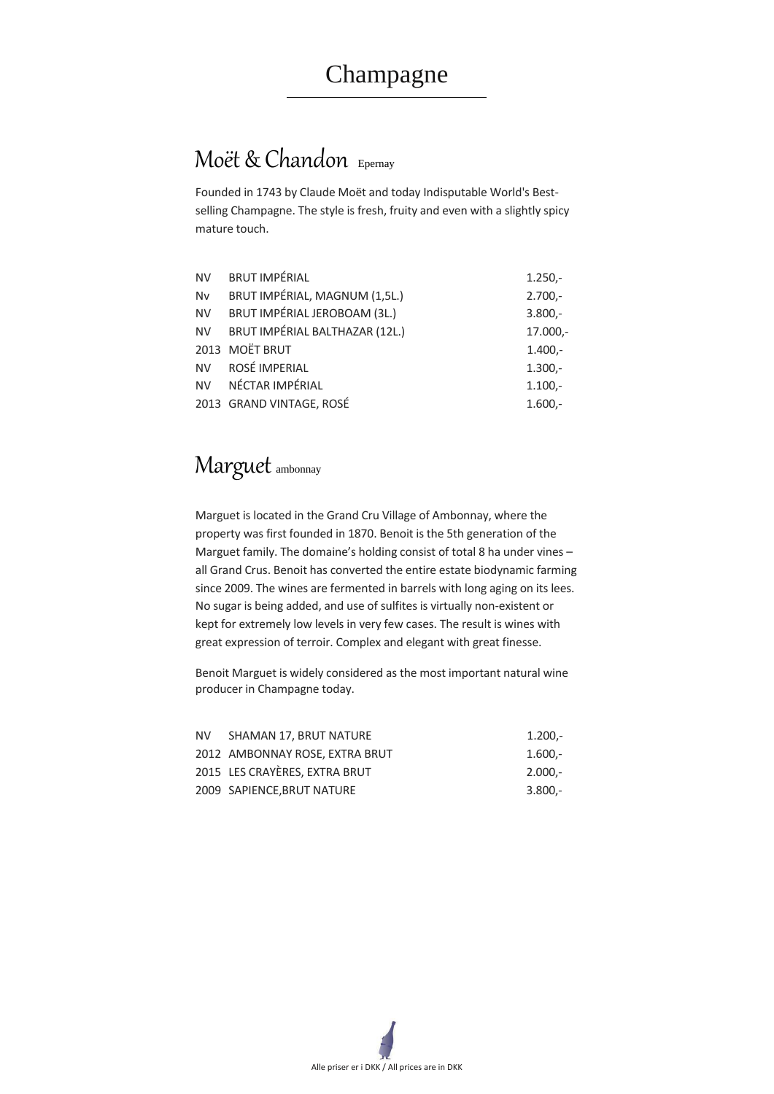

## Moët & Chandon Epernay

Founded in 1743 by Claude Moët and today Indisputable World's Bestselling Champagne. The style is fresh, fruity and even with a slightly spicy mature touch.

| <b>NV</b> | <b>BRUT IMPÉRIAL</b>              | $1.250 -$ |
|-----------|-----------------------------------|-----------|
| <b>Nv</b> | BRUT IMPÉRIAL, MAGNUM (1,5L.)     | $2.700 -$ |
| <b>NV</b> | BRUT IMPÉRIAL JEROBOAM (3L.)      | $3.800 -$ |
|           | NV BRUT IMPÉRIAL BALTHAZAR (12L.) | 17.000,-  |
|           | 2013 MOËT BRUT                    | $1.400 -$ |
|           | NV ROSÉ IMPERIAL                  | $1.300 -$ |
|           | NV NÉCTAR IMPÉRIAL                | $1.100,-$ |
|           | 2013 GRAND VINTAGE, ROSÉ          | $1.600 -$ |

### Marguet ambonnay

Marguet is located in the Grand Cru Village of Ambonnay, where the property was first founded in 1870. Benoit is the 5th generation of the Marguet family. The domaine's holding consist of total 8 ha under vines – all Grand Crus. Benoit has converted the entire estate biodynamic farming since 2009. The wines are fermented in barrels with long aging on its lees. No sugar is being added, and use of sulfites is virtually non-existent or kept for extremely low levels in very few cases. The result is wines with great expression of terroir. Complex and elegant with great finesse.

Benoit Marguet is widely considered as the most important natural wine producer in Champagne today.

| NV I | SHAMAN 17, BRUT NATURE         | $1.200 -$ |
|------|--------------------------------|-----------|
|      | 2012 AMBONNAY ROSE, EXTRA BRUT | $1.600 -$ |
|      | 2015 LES CRAYÈRES, EXTRA BRUT  | $2.000 -$ |
|      | 2009 SAPIENCE, BRUT NATURE     | $3.800 -$ |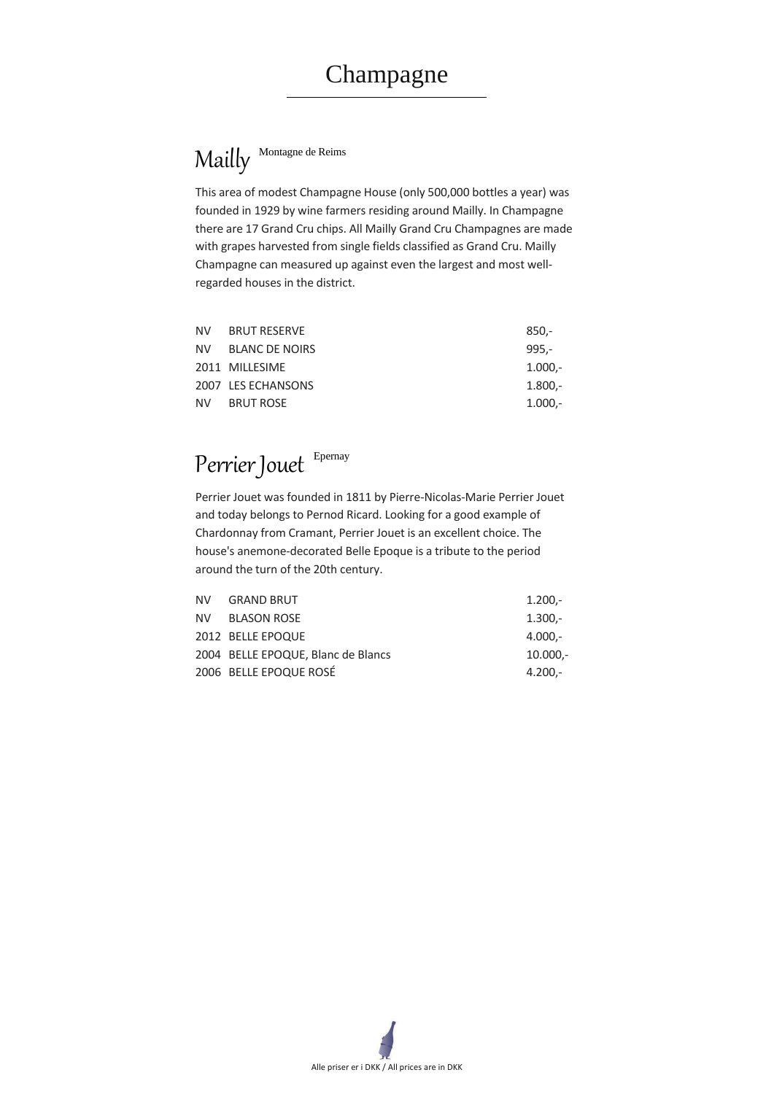# Mailly Montagne de Reims



This area of modest Champagne House (only 500,000 bottles a year) was founded in 1929 by wine farmers residing around Mailly. In Champagne there are 17 Grand Cru chips. All Mailly Grand Cru Champagnes are made with grapes harvested from single fields classified as Grand Cru. Mailly Champagne can measured up against even the largest and most wellregarded houses in the district.

| NV BRUT RESERVE    | $850 -$   |
|--------------------|-----------|
| NV BLANC DE NOIRS  | $995 -$   |
| 2011 MILLESIME     | $1.000,-$ |
| 2007 LES ECHANSONS | $1.800 -$ |
| NV BRUT ROSE       | $1.000,-$ |

# Perrier Jouet Epernay

Perrier Jouet was founded in 1811 by Pierre-Nicolas-Marie Perrier Jouet and today belongs to Pernod Ricard. Looking for a good example of Chardonnay from Cramant, Perrier Jouet is an excellent choice. The house's anemone-decorated Belle Epoque is a tribute to the period around the turn of the 20th century.

| NV GRAND BRUT                      | $1.200 -$  |
|------------------------------------|------------|
| NV BLASON ROSE                     | $1.300 -$  |
| 2012 BELLE EPOQUE                  | 4.000,-    |
| 2004 BELLE EPOQUE, Blanc de Blancs | $10.000,-$ |
| 2006 BELLE EPOQUE ROSÉ             | 4.200,-    |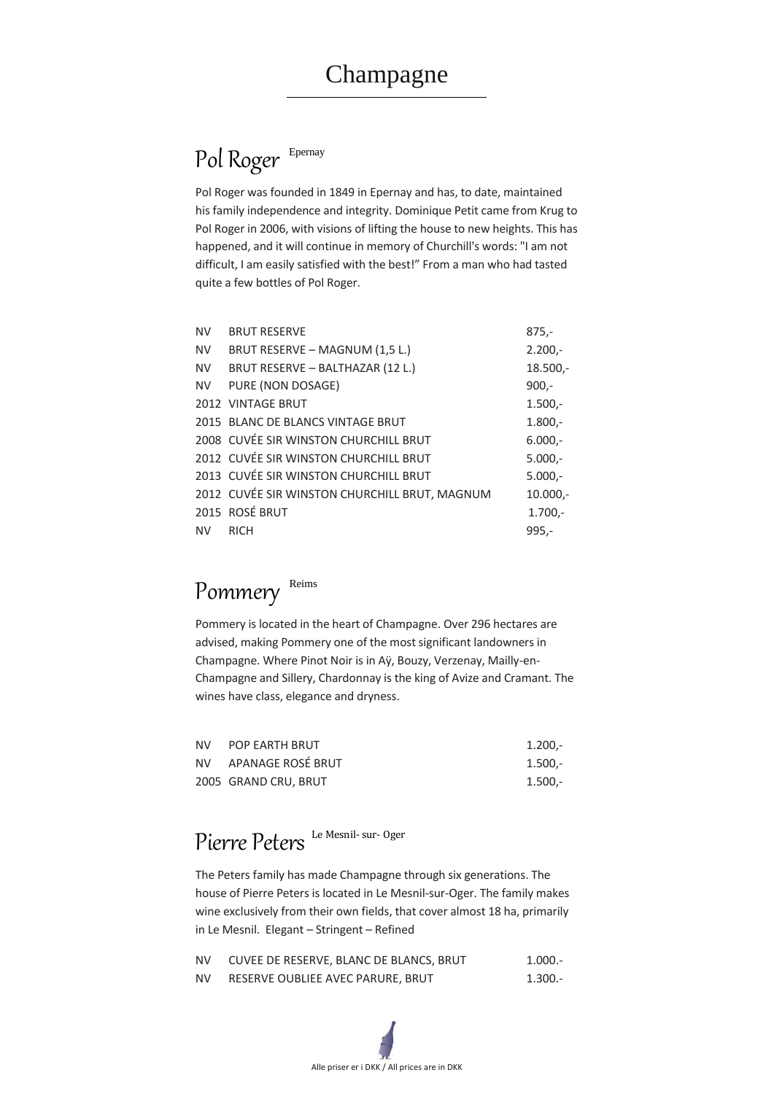# Pol Roger Epernay



Pol Roger was founded in 1849 in Epernay and has, to date, maintained his family independence and integrity. Dominique Petit came from Krug to Pol Roger in 2006, with visions of lifting the house to new heights. This has happened, and it will continue in memory of Churchill's words: "I am not difficult, I am easily satisfied with the best!" From a man who had tasted quite a few bottles of Pol Roger.

| <b>NV</b> | <b>BRUT RESERVE</b>                           | $875,-$    |
|-----------|-----------------------------------------------|------------|
| <b>NV</b> | BRUT RESERVE - MAGNUM (1,5 L.)                | $2.200 -$  |
| <b>NV</b> | BRUT RESERVE - BALTHAZAR (12 L.)              | $18.500 -$ |
|           | NV PURE (NON DOSAGE)                          | $900,-$    |
|           | 2012 VINTAGE BRUT                             | $1.500 -$  |
|           | 2015 BLANC DE BLANCS VINTAGE BRUT             | $1.800 -$  |
|           | 2008 CUVÉE SIR WINSTON CHURCHILL BRUT         | $6.000 -$  |
|           | 2012 CUVÉE SIR WINSTON CHURCHILL BRUT         | $5.000,-$  |
|           | 2013 CUVÉE SIR WINSTON CHURCHILL BRUT         | $5.000,-$  |
|           | 2012 CUVÉE SIR WINSTON CHURCHILL BRUT, MAGNUM | $10.000,-$ |
|           | 2015 ROSÉ BRUT                                | $1.700 -$  |
| <b>NV</b> | <b>RICH</b>                                   | $995,-$    |

# Pommery Reims

Pommery is located in the heart of Champagne. Over 296 hectares are advised, making Pommery one of the most significant landowners in Champagne. Where Pinot Noir is in Aÿ, Bouzy, Verzenay, Mailly-en-Champagne and Sillery, Chardonnay is the king of Avize and Cramant. The wines have class, elegance and dryness.

| <b>NV</b> | <b>POP EARTH BRUT</b> | $1.200 -$ |
|-----------|-----------------------|-----------|
|           | NV APANAGE ROSÉ BRUT  | $1.500 -$ |
|           | 2005 GRAND CRU, BRUT  | $1.500 -$ |

# Pierre Peters Le Mesnil- sur- Oger

The Peters family has made Champagne through six generations. The house of Pierre Peters is located in Le Mesnil-sur-Oger. The family makes wine exclusively from their own fields, that cover almost 18 ha, primarily in Le Mesnil. Elegant – Stringent – Refined

| <b>NV</b> | CUVEE DE RESERVE, BLANC DE BLANCS, BRUT | $1.000 -$ |
|-----------|-----------------------------------------|-----------|
| NV.       | RESERVE OUBLIEE AVEC PARURE, BRUT       | 1.300.-   |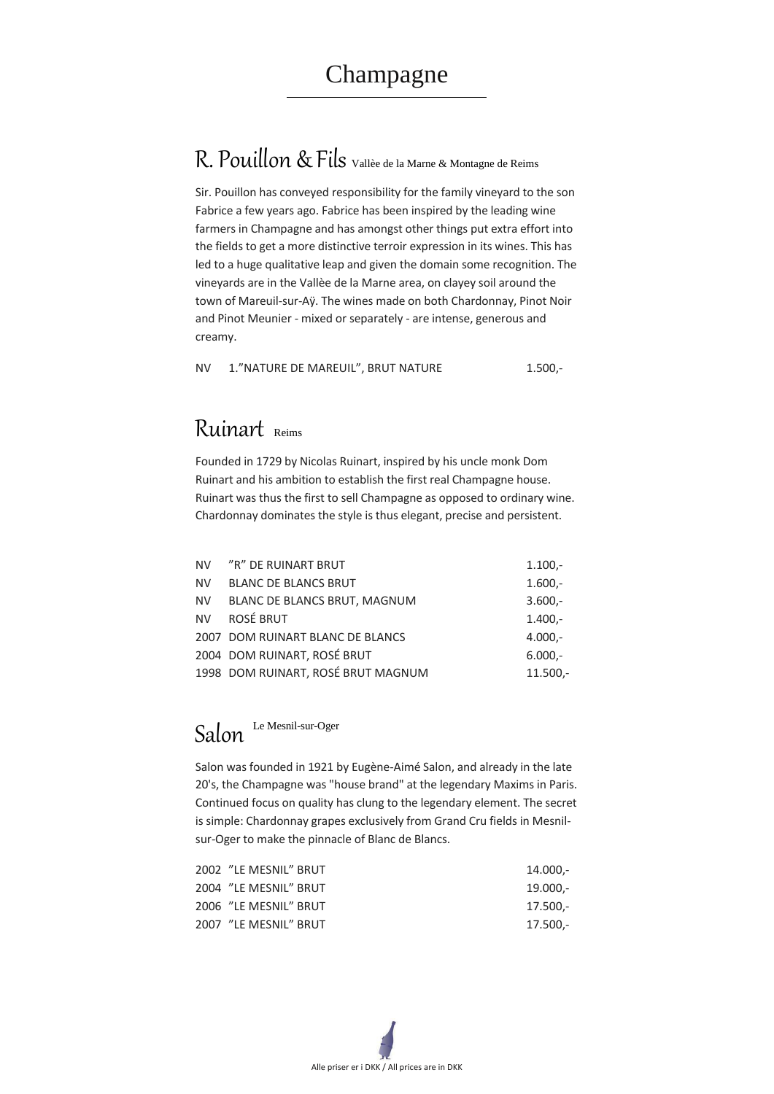Alle priser er i DKK / All prices are in DKK

# R. Pouillon & Fils Vallèe de la Marne & Montagne de Reims

Sir. Pouillon has conveyed responsibility for the family vineyard to the son Fabrice a few years ago. Fabrice has been inspired by the leading wine farmers in Champagne and has amongst other things put extra effort into the fields to get a more distinctive terroir expression in its wines. This has led to a huge qualitative leap and given the domain some recognition. The vineyards are in the Vallèe de la Marne area, on clayey soil around the town of Mareuil-sur-Aÿ. The wines made on both Chardonnay, Pinot Noir and Pinot Meunier - mixed or separately - are intense, generous and creamy.

NV 1."NATURE DE MAREUIL", BRUT NATURE 1.500,-

### Ruinart Reims

Founded in 1729 by Nicolas Ruinart, inspired by his uncle monk Dom Ruinart and his ambition to establish the first real Champagne house. Ruinart was thus the first to sell Champagne as opposed to ordinary wine. Chardonnay dominates the style is thus elegant, precise and persistent.

|           | NV "R" DE RUINART BRUT              | $1.100 -$  |
|-----------|-------------------------------------|------------|
| <b>NV</b> | <b>BLANC DE BLANCS BRUT</b>         | $1.600 -$  |
| NV        | <b>BLANC DE BLANCS BRUT, MAGNUM</b> | $3.600 -$  |
| <b>NV</b> | <b>ROSÉ BRUT</b>                    | $1.400 -$  |
|           | 2007 DOM RUINART BLANC DE BLANCS    | $4.000,-$  |
|           | 2004 DOM RUINART, ROSÉ BRUT         | $6.000 -$  |
|           | 1998 DOM RUINART, ROSÉ BRUT MAGNUM  | $11.500 -$ |

# Salon Le Mesnil-sur-Oger

Salon was founded in 1921 by Eugène-Aimé Salon, and already in the late 20's, the Champagne was "house brand" at the legendary Maxims in Paris. Continued focus on quality has clung to the legendary element. The secret is simple: Chardonnay grapes exclusively from Grand Cru fields in Mesnilsur-Oger to make the pinnacle of Blanc de Blancs.

| 2002 "LE MESNIL" BRUT | 14.000,-   |
|-----------------------|------------|
| 2004 "LE MESNIL" BRUT | $19.000 -$ |
| 2006 "LE MESNIL" BRUT | 17.500,-   |
| 2007 "LE MESNIL" BRUT | 17.500,-   |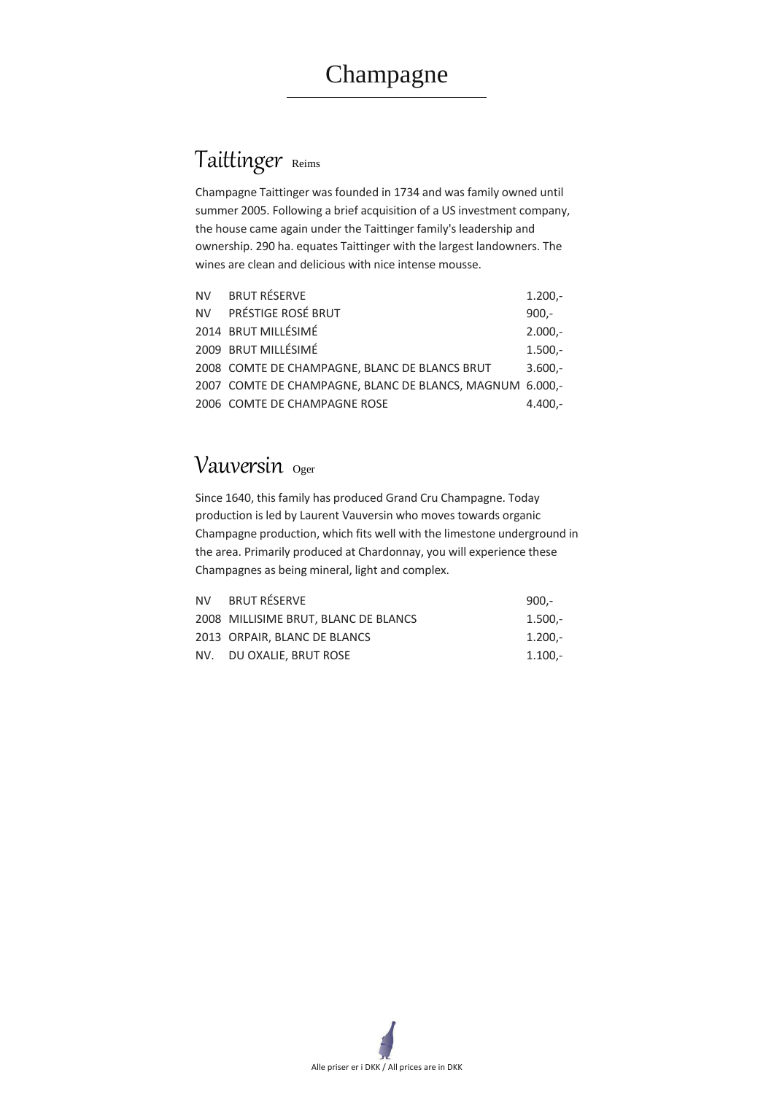## Taittinger Reims



Champagne Taittinger was founded in 1734 and was family owned until summer 2005. Following a brief acquisition of a US investment company, the house came again under the Taittinger family's leadership and ownership. 290 ha. equates Taittinger with the largest landowners. The wines are clean and delicious with nice intense mousse.

| NV BRUT RÉSERVE                                          | $1.200 -$ |
|----------------------------------------------------------|-----------|
| NV PRÉSTIGE ROSÉ BRUT                                    | $900 -$   |
| 2014 BRUT MILLÉSIMÉ                                      | $2.000,-$ |
| 2009 BRUT MILLÉSIMÉ                                      | $1.500 -$ |
| 2008 COMTE DE CHAMPAGNE, BLANC DE BLANCS BRUT            | $3.600 -$ |
| 2007 COMTE DE CHAMPAGNE, BLANC DE BLANCS, MAGNUM 6.000,- |           |
| 2006 COMTE DE CHAMPAGNE ROSE                             | $4.400 -$ |

### Vauversin Oger

Since 1640, this family has produced Grand Cru Champagne. Today production is led by Laurent Vauversin who moves towards organic Champagne production, which fits well with the limestone underground in the area. Primarily produced at Chardonnay, you will experience these Champagnes as being mineral, light and complex.

| NV BRUT RÉSERVE                      | $900 -$   |
|--------------------------------------|-----------|
| 2008 MILLISIME BRUT, BLANC DE BLANCS | $1.500 -$ |
| 2013 ORPAIR, BLANC DE BLANCS         | $1.200 -$ |
| NV. DU OXALIE, BRUT ROSE             | $1.100 -$ |